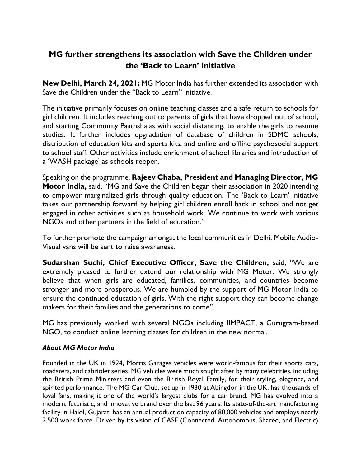## **MG further strengthens its association with Save the Children under the 'Back to Learn' initiative**

**New Delhi, March 24, 2021:** MG Motor India has further extended its association with Save the Children under the "Back to Learn" initiative.

The initiative primarily focuses on online teaching classes and a safe return to schools for girl children. It includes reaching out to parents of girls that have dropped out of school, and starting Community Paathshalas with social distancing, to enable the girls to resume studies. It further includes upgradation of database of children in SDMC schools, distribution of education kits and sports kits, and online and offline psychosocial support to school staff. Other activities include enrichment of school libraries and introduction of a 'WASH package' as schools reopen.

Speaking on the programme, **Rajeev Chaba, President and Managing Director, MG Motor India,** said, "MG and Save the Children began their association in 2020 intending to empower marginalized girls through quality education. The 'Back to Learn' initiative takes our partnership forward by helping girl children enroll back in school and not get engaged in other activities such as household work. We continue to work with various NGOs and other partners in the field of education."

To further promote the campaign amongst the local communities in Delhi, Mobile Audio-Visual vans will be sent to raise awareness.

**Sudarshan Suchi, Chief Executive Officer, Save the Children,** said, "We are extremely pleased to further extend our relationship with MG Motor. We strongly believe that when girls are educated, families, communities, and countries become stronger and more prosperous. We are humbled by the support of MG Motor India to ensure the continued education of girls. With the right support they can become change makers for their families and the generations to come".

MG has previously worked with several NGOs including IIMPACT, a Gurugram-based NGO, to conduct online learning classes for children in the new normal.

## *About MG Motor India*

Founded in the UK in 1924, Morris Garages vehicles were world-famous for their sports cars, roadsters, and cabriolet series. MG vehicles were much sought after by many celebrities, including the British Prime Ministers and even the British Royal Family, for their styling, elegance, and spirited performance. The MG Car Club, set up in 1930 at Abingdon in the UK, has thousands of loyal fans, making it one of the world's largest clubs for a car brand. MG has evolved into a modern, futuristic, and innovative brand over the last 96 years. Its state-of-the-art manufacturing facility in Halol, Gujarat, has an annual production capacity of 80,000 vehicles and employs nearly 2,500 work force. Driven by its vision of CASE (Connected, Autonomous, Shared, and Electric)